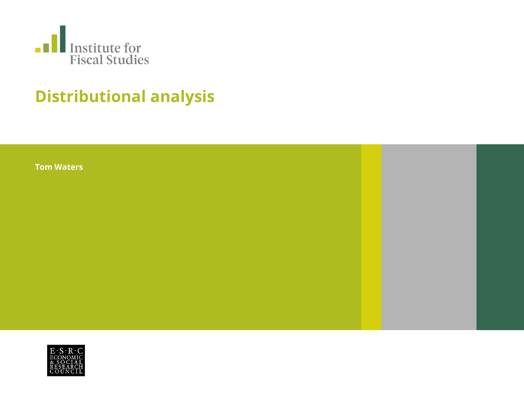

# **Distributional analysis**

**Tom Waters**

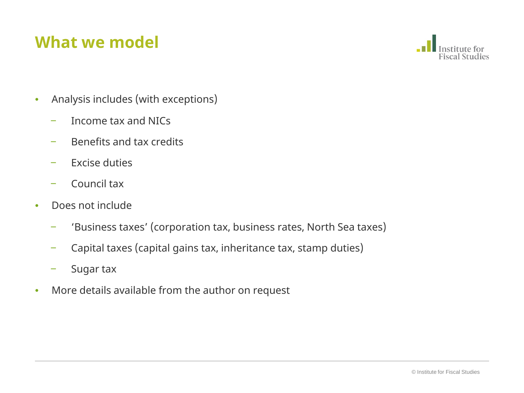# **What we model**



- Analysis includes (with exceptions)
	- ‒ Income tax and NICs
	- ‒ Benefits and tax credits
	- ‒ Excise duties
	- ‒ Council tax
- Does not include
	- ‒ 'Business taxes' (corporation tax, business rates, North Sea taxes)
	- ‒ Capital taxes (capital gains tax, inheritance tax, stamp duties)
	- Sugar tax
- More details available from the author on request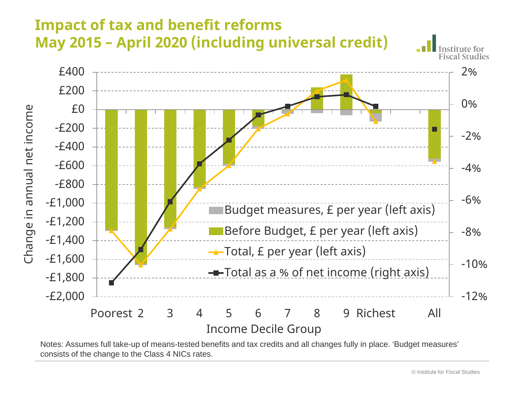

Notes: Assumes full take-up of means-tested benefits and tax credits and all changes fully in place. 'Budget measures' consists of the change to the Class 4 NICs rates.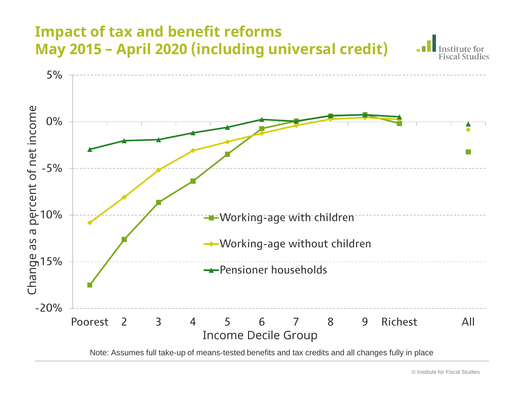

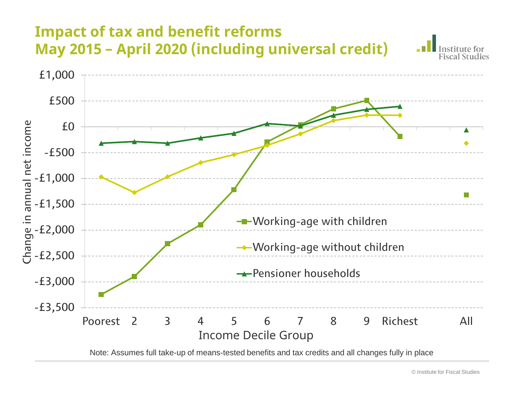

Note: Assumes full take-up of means-tested benefits and tax credits and all changes fully in place

'nstitute for **Fiscal Studies**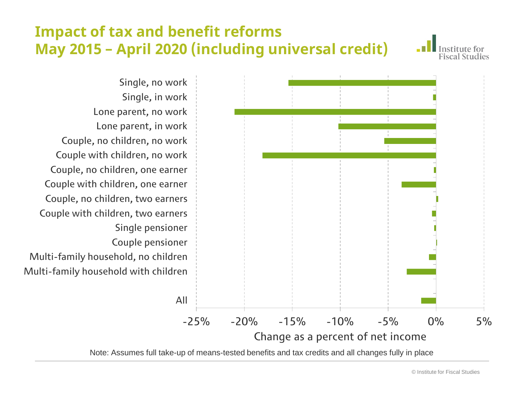nstitute for **Fiscal Studies** 

-25% -20% -15% -10% -5% 0% 5% Single, no work Single, in work Lone parent, no work Lone parent, in work Couple, no children, no work Couple with children, no work Couple, no children, one earner Couple with children, one earner Couple, no children, two earners Couple with children, two earners Single pensioner Couple pensioner Multi-family household, no children Multi-family household with children All

#### Change as a percent of net income

Note: Assumes full take-up of means-tested benefits and tax credits and all changes fully in place